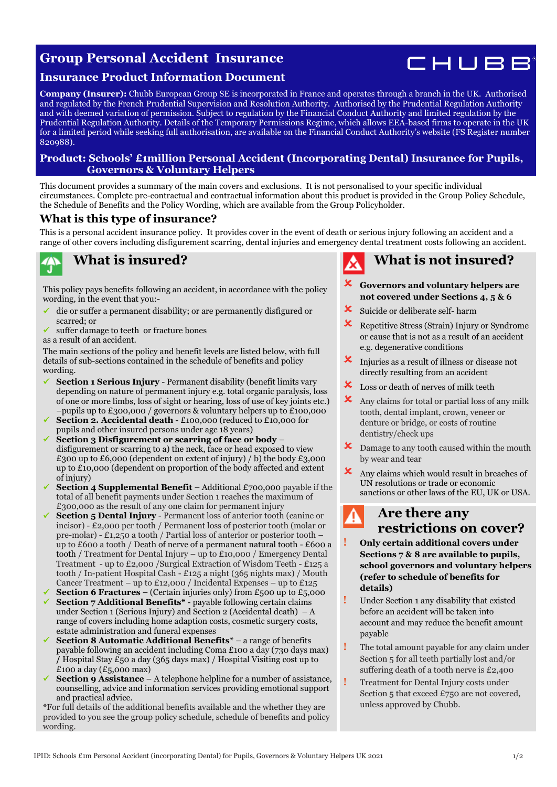## **Group Personal Accident Insurance**



### **Insurance Product Information Document**

**Company (Insurer):** Chubb European Group SE is incorporated in France and operates through a branch in the UK. Authorised and regulated by the French Prudential Supervision and Resolution Authority. Authorised by the Prudential Regulation Authority and with deemed variation of permission. Subject to regulation by the Financial Conduct Authority and limited regulation by the Prudential Regulation Authority. Details of the Temporary Permissions Regime, which allows EEA-based firms to operate in the UK for a limited period while seeking full authorisation, are available on the Financial Conduct Authority's website (FS Register number 820988).

### **Product: Schools' £1million Personal Accident (Incorporating Dental) Insurance for Pupils, Governors & Voluntary Helpers**

This document provides a summary of the main covers and exclusions. It is not personalised to your specific individual circumstances. Complete pre-contractual and contractual information about this product is provided in the Group Policy Schedule, the Schedule of Benefits and the Policy Wording, which are available from the Group Policyholder.

### **What is this type of insurance?**

This is a personal accident insurance policy. It provides cover in the event of death or serious injury following an accident and a range of other covers including disfigurement scarring, dental injuries and emergency dental treatment costs following an accident.

# **7A)**

### **What is insured?**

This policy pays benefits following an accident, in accordance with the policy wording, in the event that you:-

- ✓ die or suffer a permanent disability; or are permanently disfigured or scarred; or
- suffer damage to teeth or fracture bones

as a result of an accident.

The main sections of the policy and benefit levels are listed below, with full details of sub-sections contained in the schedule of benefits and policy wording.

- **Section 1 Serious Injury Permanent disability (benefit limits vary** depending on nature of permanent injury e.g. total organic paralysis, loss of one or more limbs, loss of sight or hearing, loss of use of key joints etc.) –pupils up to £300,000 / governors & voluntary helpers up to £100,000
- **Section 2. Accidental death £100,000 (reduced to £10,000 for** pupils and other insured persons under age 18 years)
- ✓ **Section 3 Disfigurement or scarring of face or body**  disfigurement or scarring to a) the neck, face or head exposed to view £300 up to £6,000 (dependent on extent of injury)  $\frac{1}{2}$  b) the body £3,000 up to £10,000 (dependent on proportion of the body affected and extent of injury)
- **Section 4 Supplemental Benefit** Additional £700,000 payable if the total of all benefit payments under Section 1 reaches the maximum of £300,000 as the result of any one claim for permanent injury
- **Section 5 Dental Injury** Permanent loss of anterior tooth (canine or incisor) - £2,000 per tooth / Permanent loss of posterior tooth (molar or pre-molar) - £1,250 a tooth / Partial loss of anterior or posterior tooth – up to £600 a tooth / Death of nerve of a permanent natural tooth - £600 a tooth / Treatment for Dental Injury – up to £10,000 / Emergency Dental Treatment - up to £2,000 /Surgical Extraction of Wisdom Teeth - £125 a tooth / In-patient Hospital Cash - £125 a night (365 nights max) / Mouth Cancer Treatment – up to £12,000 / Incidental Expenses – up to £125
- **Section 6 Fractures** (Certain injuries only) from £500 up to £5,000 ✓ **Section 7 Additional Benefits\*** - payable following certain claims under Section 1 (Serious Injury) and Section 2 (Accidental death)  $-A$ range of covers including home adaption costs, cosmetic surgery costs, estate administration and funeral expenses
- ✓ **Section 8 Automatic Additional Benefits\*** a range of benefits payable following an accident including Coma £100 a day (730 days max) **/** Hospital Stay £50 a day (365 days max) / Hospital Visiting cost up to £100 a day  $(E_5,000 \text{ max})$
- **Section 9 Assistance** A telephone helpline for a number of assistance, counselling, advice and information services providing emotional support and practical advice.

\*For full details of the additional benefits available and the whether they are provided to you see the group policy schedule, schedule of benefits and policy wording.

# **What is not insured?**

- **Governors and voluntary helpers are not covered under Sections 4, 5 & 6**
- Suicide or deliberate self- harm
- Repetitive Stress (Strain) Injury or Syndrome or cause that is not as a result of an accident e.g. degenerative conditions
- Injuries as a result of illness or disease not directly resulting from an accident
- **X** Loss or death of nerves of milk teeth
- $\boldsymbol{\times}$  Any claims for total or partial loss of any milk tooth, dental implant, crown, veneer or denture or bridge, or costs of routine dentistry/check ups
- $\boldsymbol{\times}$  Damage to any tooth caused within the mouth by wear and tear
- $\mathbf{\times}$  Any claims which would result in breaches of UN resolutions or trade or economic sanctions or other laws of the EU, UK or USA.

### **Are there any restrictions on cover?**

- **! Only certain additional covers under Sections 7 & 8 are available to pupils, school governors and voluntary helpers (refer to schedule of benefits for details)**
- **!** Under Section 1 any disability that existed before an accident will be taken into account and may reduce the benefit amount payable
- **!** The total amount payable for any claim under Section 5 for all teeth partially lost and/or suffering death of a tooth nerve is £2,400
- **!** Treatment for Dental Injury costs under Section 5 that exceed £750 are not covered, unless approved by Chubb.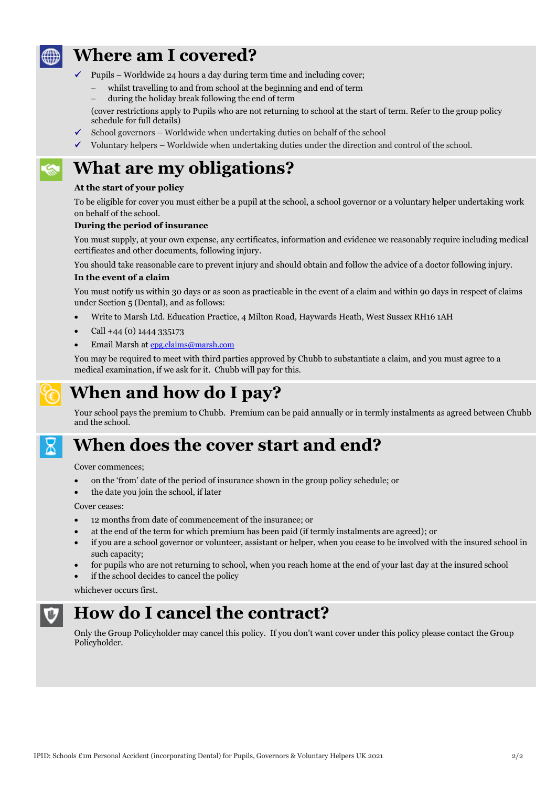

## **Where am I covered?**

- Pupils Worldwide 24 hours a day during term time and including cover;
	- − whilst travelling to and from school at the beginning and end of term
	- − during the holiday break following the end of term
- (cover restrictions apply to Pupils who are not returning to school at the start of term. Refer to the group policy schedule for full details)
- School governors Worldwide when undertaking duties on behalf of the school
- $\checkmark$  Voluntary helpers Worldwide when undertaking duties under the direction and control of the school.

# **What are my obligations?**

### **At the start of your policy**

To be eligible for cover you must either be a pupil at the school, a school governor or a voluntary helper undertaking work on behalf of the school.

### **During the period of insurance**

You must supply, at your own expense, any certificates, information and evidence we reasonably require including medical certificates and other documents, following injury.

You should take reasonable care to prevent injury and should obtain and follow the advice of a doctor following injury.

### **In the event of a claim**

You must notify us within 30 days or as soon as practicable in the event of a claim and within 90 days in respect of claims under Section 5 (Dental), and as follows:

- Write to Marsh Ltd. Education Practice, 4 Milton Road, Haywards Heath, West Sussex RH16 1AH
- Call +44 (0) 1444 335173
- Email Marsh at [epg.claims@marsh.com](mailto:epg.claims@marsh.com)

You may be required to meet with third parties approved by Chubb to substantiate a claim, and you must agree to a medical examination, if we ask for it. Chubb will pay for this.



# **When and how do I pay?**

Your school pays the premium to Chubb. Premium can be paid annually or in termly instalments as agreed between Chubb and the school.



## **When does the cover start and end?**

Cover commences;

- on the 'from' date of the period of insurance shown in the group policy schedule; or
- the date you join the school, if later

Cover ceases:

- 12 months from date of commencement of the insurance; or
- at the end of the term for which premium has been paid (if termly instalments are agreed); or
- if you are a school governor or volunteer, assistant or helper, when you cease to be involved with the insured school in such capacity;
- for pupils who are not returning to school, when you reach home at the end of your last day at the insured school
- if the school decides to cancel the policy

whichever occurs first.



## **How do I cancel the contract?**

Only the Group Policyholder may cancel this policy. If you don't want cover under this policy please contact the Group Policyholder.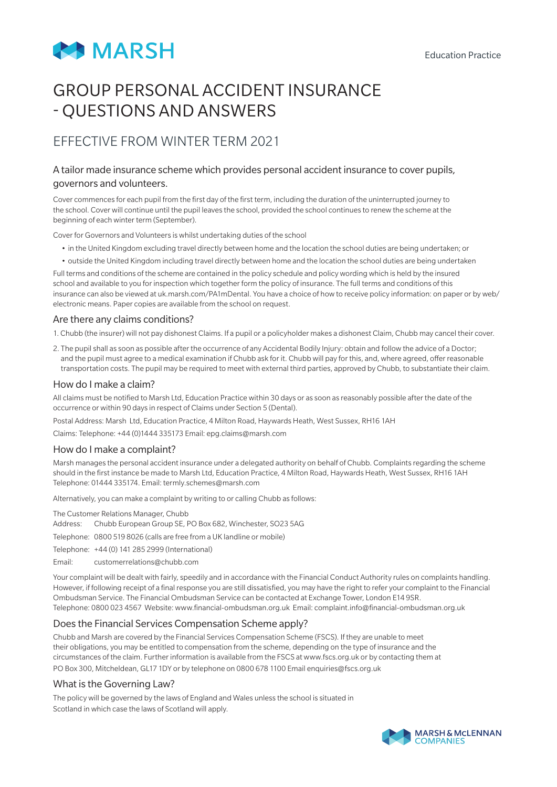

# GROUP PERSONAL ACCIDENT INSURANCE - QUESTIONS AND ANSWERS

## EFFECTIVE FROM WINTER TERM 2021

### A tailor made insurance scheme which provides personal accident insurance to cover pupils, governors and volunteers.

Cover commences for each pupil from the first day of the first term, including the duration of the uninterrupted journey to the school. Cover will continue until the pupil leaves the school, provided the school continues to renew the scheme at the beginning of each winter term (September).

Cover for Governors and Volunteers is whilst undertaking duties of the school

- in the United Kingdom excluding travel directly between home and the location the school duties are being undertaken; or
- outside the United Kingdom including travel directly between home and the location the school duties are being undertaken

Full terms and conditions of the scheme are contained in the policy schedule and policy wording which is held by the insured school and available to you for inspection which together form the policy of insurance. The full terms and conditions of this insurance can also be viewed at uk.marsh.com/PA1mDental. You have a choice of how to receive policy information: on paper or by web/ electronic means. Paper copies are available from the school on request.

### Are there any claims conditions?

1. Chubb (the insurer) will not pay dishonest Claims. If a pupil or a policyholder makes a dishonest Claim, Chubb may cancel their cover.

2. The pupil shall as soon as possible after the occurrence of any Accidental Bodily Injury: obtain and follow the advice of a Doctor; and the pupil must agree to a medical examination if Chubb ask for it. Chubb will pay for this, and, where agreed, offer reasonable transportation costs. The pupil may be required to meet with external third parties, approved by Chubb, to substantiate their claim.

### How do I make a claim?

All claims must be notified to Marsh Ltd, Education Practice within 30 days or as soon as reasonably possible after the date of the occurrence or within 90 days in respect of Claims under Section 5 (Dental).

Postal Address: Marsh Ltd, Education Practice, 4 Milton Road, Haywards Heath, West Sussex, RH16 1AH

Claims: Telephone: +44 (0)1444 335173 Email: epg.claims@marsh.com

### How do I make a complaint?

Marsh manages the personal accident insurance under a delegated authority on behalf of Chubb. Complaints regarding the scheme should in the first instance be made to Marsh Ltd, Education Practice, 4 Milton Road, Haywards Heath, West Sussex, RH16 1AH Telephone: 01444 335174. Email: termly.schemes@marsh.com

Alternatively, you can make a complaint by writing to or calling Chubb as follows:

The Customer Relations Manager, Chubb

- Address: Chubb European Group SE, PO Box 682, Winchester, SO23 5AG
- Telephone: 0800 519 8026 (calls are free from a UK landline or mobile)
- Telephone: +44 (0) 141 285 2999 (International)
- Email: customerrelations@chubb.com

Your complaint will be dealt with fairly, speedily and in accordance with the Financial Conduct Authority rules on complaints handling. However, if following receipt of a final response you are still dissatisfied, you may have the right to refer your complaint to the Financial Ombudsman Service. The Financial Ombudsman Service can be contacted at Exchange Tower, London E14 9SR. Telephone: 0800 023 4567 Website: www.financial-ombudsman.org.uk Email: complaint.info@financial-ombudsman.org.uk

### Does the Financial Services Compensation Scheme apply?

Chubb and Marsh are covered by the Financial Services Compensation Scheme (FSCS). If they are unable to meet their obligations, you may be entitled to compensation from the scheme, depending on the type of insurance and the circumstances of the claim. Further information is available from the FSCS at www.fscs.org.uk or by contacting them at PO Box 300, Mitcheldean, GL17 1DY or by telephone on 0800 678 1100 Email enquiries@fscs.org.uk

### What is the Governing Law?

The policy will be governed by the laws of England and Wales unless the school is situated in Scotland in which case the laws of Scotland will apply.